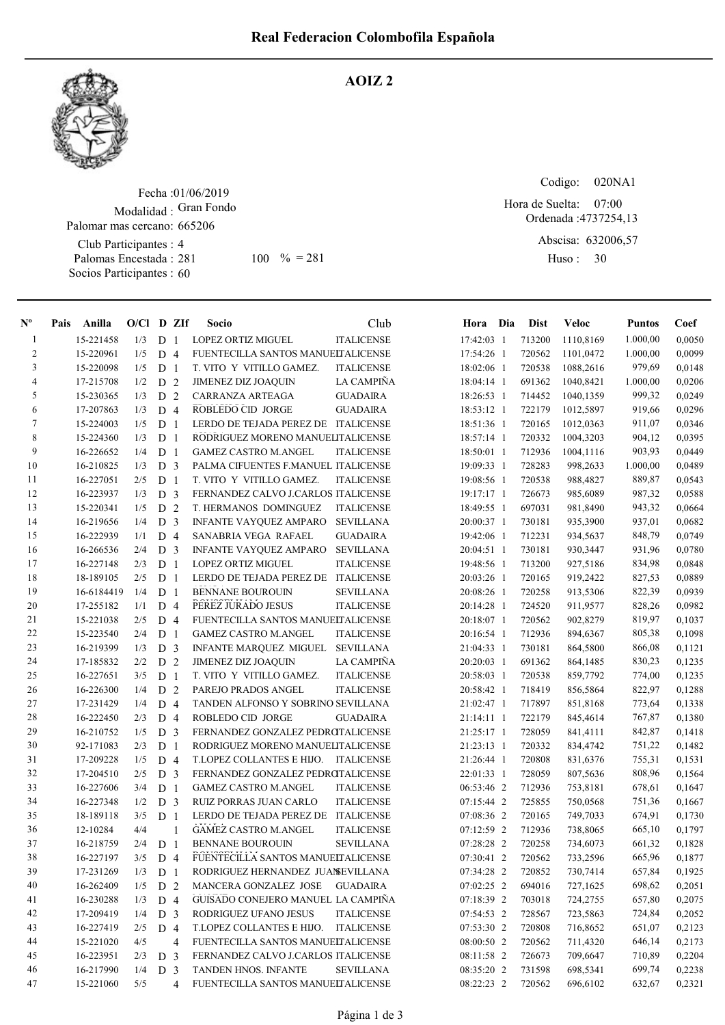

## AOIZ 2

Fecha : 01/06/2019 Modalidad : Gran Fondo Club Participantes : 4 Palomas Encestada : Palomar mas cercano: 665206 281 100 % = 281 Huso: 30

Socios Participantes : 60

Codigo: 020NA1

Ordenada : 4737254,13 07:00 Hora de Suelta:

Abscisa: 632006,57

Huso: 30

| $\mathbf{N}^{\mathbf{o}}$ | Pais | Anilla     | $O/Cl$ D ZIf |                |              | <b>Socio</b>                         | Club              | Hora Dia     | <b>Dist</b> | Veloc     | <b>Puntos</b> | Coef   |
|---------------------------|------|------------|--------------|----------------|--------------|--------------------------------------|-------------------|--------------|-------------|-----------|---------------|--------|
| -1                        |      | 15-221458  | 1/3          | D <sub>1</sub> |              | LOPEZ ORTIZ MIGUEL                   | <b>ITALICENSE</b> | 17:42:03 1   | 713200      | 1110,8169 | 1.000,00      | 0,0050 |
| $\overline{c}$            |      | 15-220961  | 1/5          | D <sub>4</sub> |              | FUENTECILLA SANTOS MANUELTALICENSE   |                   | 17:54:26 1   | 720562      | 1101,0472 | 1.000,00      | 0,0099 |
| 3                         |      | 15-220098  | 1/5          | D <sub>1</sub> |              | T. VITO Y VITILLO GAMEZ.             | <b>ITALICENSE</b> | 18:02:06 1   | 720538      | 1088,2616 | 979,69        | 0,0148 |
| $\overline{\mathcal{L}}$  |      | 17-215708  | 1/2          | D <sub>2</sub> |              | <b>JIMENEZ DIZ JOAQUIN</b>           | LA CAMPIÑA        | 18:04:14 1   | 691362      | 1040,8421 | 1.000,00      | 0,0206 |
| 5                         |      | 15-230365  | 1/3          | D <sub>2</sub> |              | CARRANZA ARTEAGA                     | <b>GUADAIRA</b>   | 18:26:53 1   | 714452      | 1040,1359 | 999,32        | 0,0249 |
| 6                         |      | 17-207863  | 1/3          | D <sub>4</sub> |              | ROBLEDO CID JORGE                    | <b>GUADAIRA</b>   | 18:53:12 1   | 722179      | 1012,5897 | 919,66        | 0,0296 |
| 7                         |      | 15-224003  | 1/5          | D <sub>1</sub> |              | LERDO DE TEJADA PEREZ DE ITALICENSE  |                   | 18:51:36 1   | 720165      | 1012,0363 | 911,07        | 0,0346 |
| 8                         |      | 15-224360  | 1/3          | D <sub>1</sub> |              | RODRIGUEZ MORENO MANUELITALICENSE    |                   | 18:57:14 1   | 720332      | 1004,3203 | 904,12        | 0,0395 |
| 9                         |      | 16-226652  | 1/4          | D <sub>1</sub> |              | <b>GAMEZ CASTRO M.ANGEL</b>          | <b>ITALICENSE</b> | 18:50:01 1   | 712936      | 1004,1116 | 903,93        | 0,0449 |
| 10                        |      | 16-210825  | 1/3          | D <sub>3</sub> |              | PALMA CIFUENTES F.MANUEL ITALICENSE  |                   | 19:09:33 1   | 728283      | 998,2633  | 1.000,00      | 0,0489 |
| 11                        |      | 16-227051  | 2/5          | D <sub>1</sub> |              | T. VITO Y VITILLO GAMEZ.             | <b>ITALICENSE</b> | 19:08:56 1   | 720538      | 988,4827  | 889,87        | 0,0543 |
| 12                        |      | 16-223937  | 1/3          | D <sub>3</sub> |              | FERNANDEZ CALVO J.CARLOS ITALICENSE  |                   | 19:17:17 1   | 726673      | 985,6089  | 987,32        | 0,0588 |
| 13                        |      | 15-220341  | 1/5          | D <sub>2</sub> |              | T. HERMANOS DOMINGUEZ                | <b>ITALICENSE</b> | 18:49:55 1   | 697031      | 981,8490  | 943,32        | 0,0664 |
| 14                        |      | 16-219656  | 1/4          | D <sub>3</sub> |              | INFANTE VAYQUEZ AMPARO               | <b>SEVILLANA</b>  | 20:00:37 1   | 730181      | 935,3900  | 937,01        | 0,0682 |
| 15                        |      | 16-222939  | 1/1          | D <sub>4</sub> |              | SANABRIA VEGA RAFAEL                 | <b>GUADAIRA</b>   | 19:42:06 1   | 712231      | 934,5637  | 848,79        | 0,0749 |
| 16                        |      | 16-266536  | 2/4          | D <sub>3</sub> |              | INFANTE VAYQUEZ AMPARO               | <b>SEVILLANA</b>  | 20:04:51 1   | 730181      | 930,3447  | 931,96        | 0,0780 |
| 17                        |      | 16-227148  | 2/3          | D <sub>1</sub> |              | LOPEZ ORTIZ MIGUEL                   | <b>ITALICENSE</b> | 19:48:56 1   | 713200      | 927,5186  | 834,98        | 0,0848 |
| 18                        |      | 18-189105  | 2/5          | D <sub>1</sub> |              | LERDO DE TEJADA PEREZ DE ITALICENSE  |                   | 20:03:26 1   | 720165      | 919,2422  | 827,53        | 0,0889 |
| 19                        |      | 16-6184419 | 1/4          | D <sub>1</sub> |              | <b>BENNANE BOUROUIN</b>              | <b>SEVILLANA</b>  | 20:08:26 1   | 720258      | 913,5306  | 822,39        | 0,0939 |
| 20                        |      | 17-255182  | 1/1          | D <sub>4</sub> |              | PEREZ JURADO JESUS                   | <b>ITALICENSE</b> | 20:14:28 1   | 724520      | 911,9577  | 828,26        | 0,0982 |
| 21                        |      | 15-221038  | 2/5          | D <sub>4</sub> |              | FUENTECILLA SANTOS MANUELTALICENSE   |                   | 20:18:07 1   | 720562      | 902,8279  | 819,97        | 0,1037 |
| 22                        |      | 15-223540  | 2/4          | D <sub>1</sub> |              | <b>GAMEZ CASTRO M.ANGEL</b>          | <b>ITALICENSE</b> | 20:16:54 1   | 712936      | 894,6367  | 805,38        | 0,1098 |
| 23                        |      | 16-219399  | 1/3          | D <sub>3</sub> |              | INFANTE MARQUEZ MIGUEL SEVILLANA     |                   | 21:04:33 1   | 730181      | 864,5800  | 866,08        | 0,1121 |
| 24                        |      | 17-185832  | 2/2          | D <sub>2</sub> |              | <b>JIMENEZ DIZ JOAQUIN</b>           | <b>LA CAMPIÑA</b> | 20:20:03 1   | 691362      | 864,1485  | 830,23        | 0,1235 |
| 25                        |      | 16-227651  | 3/5          | D <sub>1</sub> |              | T. VITO Y VITILLO GAMEZ.             | <b>ITALICENSE</b> | 20:58:03 1   | 720538      | 859,7792  | 774,00        | 0,1235 |
| $26\,$                    |      | 16-226300  | 1/4          | D <sub>2</sub> |              | PAREJO PRADOS ANGEL                  | <b>ITALICENSE</b> | 20:58:42 1   | 718419      | 856,5864  | 822,97        | 0,1288 |
| 27                        |      | 17-231429  | 1/4          | D <sub>4</sub> |              | TANDEN ALFONSO Y SOBRINO SEVILLANA   |                   | 21:02:47 1   | 717897      | 851,8168  | 773,64        | 0,1338 |
| $28\,$                    |      | 16-222450  | 2/3          | D <sub>4</sub> |              | ROBLEDO CID JORGE                    | <b>GUADAIRA</b>   | $21:14:11$ 1 | 722179      | 845,4614  | 767,87        | 0,1380 |
| 29                        |      | 16-210752  | 1/5          | D <sub>3</sub> |              | FERNANDEZ GONZALEZ PEDROTALICENSE    |                   | 21:25:17 1   | 728059      | 841,4111  | 842,87        | 0,1418 |
| 30                        |      | 92-171083  | 2/3          | D <sub>1</sub> |              | RODRIGUEZ MORENO MANUELITALICENSE    |                   | 21:23:13 1   | 720332      | 834,4742  | 751,22        | 0,1482 |
| 31                        |      | 17-209228  | 1/5          | D <sub>4</sub> |              | T.LOPEZ COLLANTES E HIJO.            | ITALICENSE        | 21:26:44 1   | 720808      | 831,6376  | 755,31        | 0,1531 |
| 32                        |      | 17-204510  | 2/5          | D <sub>3</sub> |              | FERNANDEZ GONZALEZ PEDROTALICENSE    |                   | 22:01:33 1   | 728059      | 807,5636  | 808,96        | 0,1564 |
| 33                        |      | 16-227606  | 3/4          | D <sub>1</sub> |              | <b>GAMEZ CASTRO M.ANGEL</b>          | <b>ITALICENSE</b> | 06:53:46 2   | 712936      | 753,8181  | 678,61        | 0,1647 |
| 34                        |      | 16-227348  | 1/2          | D <sub>3</sub> |              | RUIZ PORRAS JUAN CARLO               | <b>ITALICENSE</b> | 07:15:44 2   | 725855      | 750,0568  | 751,36        | 0,1667 |
| 35                        |      | 18-189118  | 3/5          | D <sub>1</sub> |              | LERDO DE TEJADA PEREZ DE ITALICENSE  |                   | 07:08:36 2   | 720165      | 749,7033  | 674,91        | 0,1730 |
| 36                        |      | 12-10284   | 4/4          |                | $\mathbf{1}$ | <b>GAMEZ CASTRO M.ANGEL</b>          | <b>ITALICENSE</b> | 07:12:59 2   | 712936      | 738,8065  | 665,10        | 0,1797 |
| 37                        |      | 16-218759  | 2/4          | D <sub>1</sub> |              | <b>BENNANE BOUROUIN</b>              | <b>SEVILLANA</b>  | 07:28:28 2   | 720258      | 734,6073  | 661,32        | 0,1828 |
| 38                        |      | 16-227197  | $3/5$        | D <sub>4</sub> |              | FUENTECILLA SANTOS MANUELTALICENSE   |                   | 07:30:41 2   | 720562      | 733,2596  | 665,96        | 0,1877 |
| 39                        |      | 17-231269  | 1/3          | D <sub>1</sub> |              | RODRIGUEZ HERNANDEZ JUANSEVILLANA    |                   | 07:34:28 2   | 720852      | 730,7414  | 657,84        | 0,1925 |
| 40                        |      | 16-262409  | 1/5          | D <sub>2</sub> |              | MANCERA GONZALEZ JOSE GUADAIRA       |                   | 07:02:25 2   | 694016      | 727,1625  | 698,62        | 0,2051 |
| 41                        |      | 16-230288  | 1/3          | D 4            |              | GUISADO CONEJERO MANUEL LA CAMPIÑA   |                   | 07:18:39 2   | 703018      | 724,2755  | 657,80        | 0,2075 |
| 42                        |      | 17-209419  | 1/4          | D <sub>3</sub> |              | RODRIGUEZ UFANO JESUS                | <b>ITALICENSE</b> | 07:54:53 2   | 728567      | 723,5863  | 724,84        | 0,2052 |
| 43                        |      | 16-227419  | 2/5          | D <sub>4</sub> |              | T.LOPEZ COLLANTES E HIJO. ITALICENSE |                   | 07:53:30 2   | 720808      | 716,8652  | 651,07        | 0,2123 |
| 44                        |      | 15-221020  | 4/5          |                | 4            | FUENTECILLA SANTOS MANUELTALICENSE   |                   | 08:00:50 2   | 720562      | 711,4320  | 646,14        | 0,2173 |
| 45                        |      | 16-223951  | 2/3          | D <sub>3</sub> |              | FERNANDEZ CALVO J.CARLOS ITALICENSE  |                   | 08:11:58 2   | 726673      | 709,6647  | 710,89        | 0,2204 |
| 46                        |      | 16-217990  | 1/4          | D <sub>3</sub> |              | TANDEN HNOS. INFANTE                 | <b>SEVILLANA</b>  | 08:35:20 2   | 731598      | 698,5341  | 699,74        | 0,2238 |
| 47                        |      | 15-221060  | 5/5          |                | 4            | FUENTECILLA SANTOS MANUELTALICENSE   |                   | 08:22:23 2   | 720562      | 696,6102  | 632,67        | 0,2321 |
|                           |      |            |              |                |              |                                      |                   |              |             |           |               |        |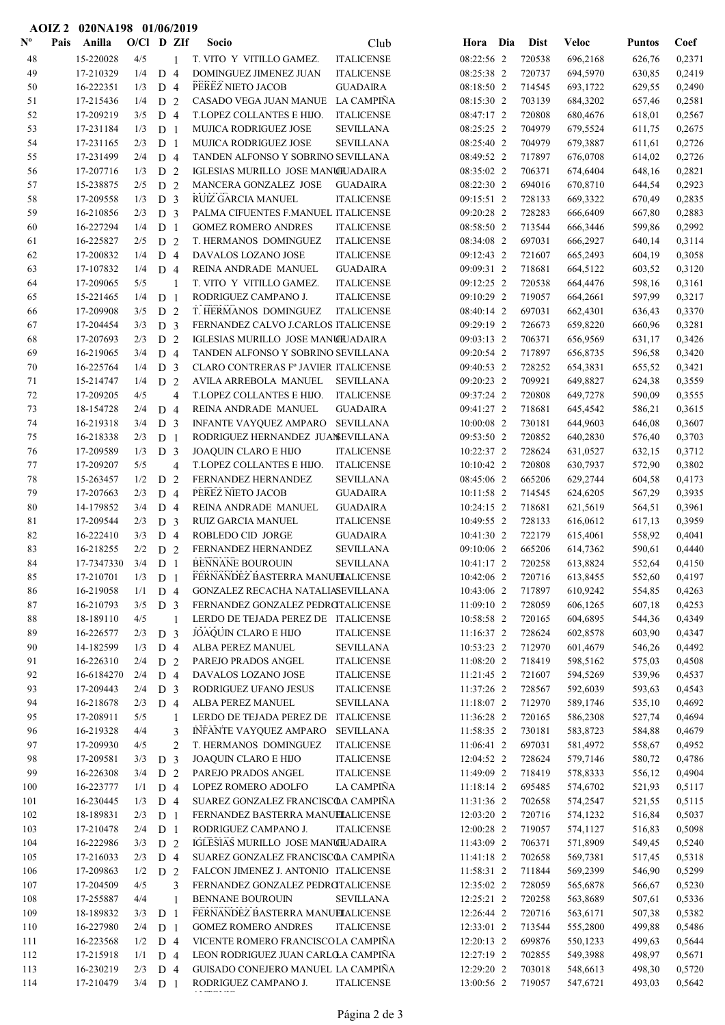| $\mathbf{N}^{\mathbf{o}}$ | Pais | Anilla     | $O/C1$ D ZIf |                |                | Socio                                | Club              | Hora       | Dia | <b>Dist</b> | <b>Veloc</b> | <b>Puntos</b> | Coef   |
|---------------------------|------|------------|--------------|----------------|----------------|--------------------------------------|-------------------|------------|-----|-------------|--------------|---------------|--------|
| 48                        |      | 15-220028  | 4/5          |                | $\mathbf{1}$   | T. VITO Y VITILLO GAMEZ.             | $\sf ITALICENSE$  | 08:22:56 2 |     | 720538      | 696,2168     | 626,76        | 0,2371 |
| 49                        |      | 17-210329  | 1/4          | D <sub>4</sub> |                | DOMINGUEZ JIMENEZ JUAN               | <b>ITALICENSE</b> | 08:25:38 2 |     | 720737      | 694,5970     | 630,85        | 0,2419 |
| 50                        |      | 16-222351  | 1/3          | D <sub>4</sub> |                | PEREZ NIETO JACOB                    | <b>GUADAIRA</b>   | 08:18:50 2 |     | 714545      | 693,1722     | 629,55        | 0,2490 |
| 51                        |      | 17-215436  | 1/4          | D              | 2              | CASADO VEGA JUAN MANUE LA CAMPIÑA    |                   | 08:15:30 2 |     | 703139      | 684,3202     | 657,46        | 0,2581 |
| 52                        |      | 17-209219  | 3/5          | D <sub>4</sub> |                | T.LOPEZ COLLANTES E HIJO.            | <b>ITALICENSE</b> | 08:47:17 2 |     | 720808      | 680,4676     | 618,01        | 0,2567 |
| 53                        |      | 17-231184  | 1/3          | D <sub>1</sub> |                | MUJICA RODRIGUEZ JOSE                | <b>SEVILLANA</b>  | 08:25:25 2 |     | 704979      | 679,5524     | 611,75        | 0,2675 |
| 54                        |      | 17-231165  | 2/3          | D <sub>1</sub> |                | <b>MUJICA RODRIGUEZ JOSE</b>         | <b>SEVILLANA</b>  | 08:25:40 2 |     | 704979      | 679,3887     | 611,61        | 0,2726 |
| 55                        |      | 17-231499  | 2/4          | D <sub>4</sub> |                | TANDEN ALFONSO Y SOBRINO SEVILLANA   |                   | 08:49:52 2 |     | 717897      | 676,0708     | 614,02        | 0,2726 |
| 56                        |      | 17-207716  | 1/3          | D              | 2              | IGLESIAS MURILLO JOSE MANUILADAIRA   |                   | 08:35:02 2 |     | 706371      | 674,6404     | 648,16        | 0,2821 |
| 57                        |      | 15-238875  | 2/5          | D              | 2              | MANCERA GONZALEZ JOSE                | <b>GUADAIRA</b>   | 08:22:30 2 |     | 694016      | 670,8710     | 644,54        | 0,2923 |
| 58                        |      | 17-209558  | 1/3          | D <sub>3</sub> |                | RUIZ GARCIA MANUEL                   | <b>ITALICENSE</b> | 09:15:51 2 |     | 728133      | 669,3322     | 670,49        | 0,2835 |
| 59                        |      | 16-210856  | 2/3          | D <sub>3</sub> |                | PALMA CIFUENTES F.MANUEL ITALICENSE  |                   | 09:20:28 2 |     | 728283      | 666,6409     | 667,80        | 0,2883 |
| 60                        |      | 16-227294  | 1/4          | D <sub>1</sub> |                | <b>GOMEZ ROMERO ANDRES</b>           | <b>ITALICENSE</b> | 08:58:50 2 |     | 713544      | 666,3446     | 599,86        | 0,2992 |
| 61                        |      | 16-225827  | 2/5          | D <sub>2</sub> |                | T. HERMANOS DOMINGUEZ                | <b>ITALICENSE</b> | 08:34:08 2 |     | 697031      | 666,2927     | 640,14        | 0,3114 |
| 62                        |      | 17-200832  | 1/4          | D              | $\overline{4}$ | DAVALOS LOZANO JOSE                  | <b>ITALICENSE</b> | 09:12:43 2 |     | 721607      | 665,2493     | 604,19        | 0,3058 |
| 63                        |      | 17-107832  | 1/4          | D <sub>4</sub> |                | REINA ANDRADE MANUEL                 | <b>GUADAIRA</b>   | 09:09:31 2 |     | 718681      | 664,5122     | 603,52        | 0,3120 |
| 64                        |      | 17-209065  | 5/5          |                | 1              | T. VITO Y VITILLO GAMEZ.             | <b>ITALICENSE</b> | 09:12:25 2 |     | 720538      | 664,4476     | 598,16        | 0,3161 |
| 65                        |      | 15-221465  | 1/4          | D <sub>1</sub> |                | RODRIGUEZ CAMPANO J.                 | <b>ITALICENSE</b> | 09:10:29 2 |     | 719057      | 664,2661     | 597,99        | 0,3217 |
| 66                        |      | 17-209908  | 3/5          | D <sub>2</sub> |                | T. HERMANOS DOMINGUEZ                | <b>ITALICENSE</b> | 08:40:14 2 |     | 697031      | 662,4301     | 636,43        | 0,3370 |
| 67                        |      | 17-204454  | 3/3          | D <sub>3</sub> |                | FERNANDEZ CALVO J.CARLOS ITALICENSE  |                   | 09:29:19 2 |     | 726673      | 659,8220     | 660,96        | 0,3281 |
| 68                        |      | 17-207693  | 2/3          | D              | $\overline{2}$ | IGLESIAS MURILLO JOSE MANUILADAIRA   |                   | 09:03:13 2 |     | 706371      | 656,9569     | 631,17        | 0,3426 |
| 69                        |      | 16-219065  | 3/4          | D <sub>4</sub> |                | TANDEN ALFONSO Y SOBRINO SEVILLANA   |                   | 09:20:54 2 |     | 717897      | 656,8735     | 596,58        | 0,3420 |
| 70                        |      | 16-225764  | 1/4          | D <sub>3</sub> |                | CLARO CONTRERAS Fº JAVIER ITALICENSE |                   | 09:40:53 2 |     | 728252      | 654,3831     | 655,52        | 0,3421 |
| 71                        |      | 15-214747  | 1/4          | D <sub>2</sub> |                | AVILA ARREBOLA MANUEL                | <b>SEVILLANA</b>  | 09:20:23 2 |     | 709921      | 649,8827     | 624,38        | 0,3559 |
| 72                        |      | 17-209205  | 4/5          |                | $\overline{4}$ | T.LOPEZ COLLANTES E HIJO.            | <b>ITALICENSE</b> | 09:37:24 2 |     | 720808      | 649,7278     | 590,09        | 0,3555 |
| 73                        |      | 18-154728  | 2/4          | D <sub>4</sub> |                | REINA ANDRADE MANUEL                 | <b>GUADAIRA</b>   | 09:41:27 2 |     | 718681      | 645,4542     | 586,21        | 0,3615 |
| 74                        |      | 16-219318  | 3/4          | D <sub>3</sub> |                | INFANTE VAYQUEZ AMPARO               | <b>SEVILLANA</b>  | 10:00:08 2 |     | 730181      | 644,9603     | 646,08        | 0,3607 |
| 75                        |      | 16-218338  | 2/3          | D <sub>1</sub> |                | RODRIGUEZ HERNANDEZ JUANSEVILLANA    |                   | 09:53:50 2 |     | 720852      | 640,2830     | 576,40        | 0,3703 |
| 76                        |      | 17-209589  | 1/3          | D <sub>3</sub> |                | JOAQUIN CLARO E HIJO                 | <b>ITALICENSE</b> | 10:22:37 2 |     | 728624      | 631,0527     | 632,15        | 0,3712 |
| 77                        |      | 17-209207  | 5/5          |                | $\overline{4}$ | T.LOPEZ COLLANTES E HIJO.            | <b>ITALICENSE</b> | 10:10:42 2 |     | 720808      | 630,7937     | 572,90        | 0,3802 |
| 78                        |      | 15-263457  | 1/2          | D              | $\overline{2}$ | FERNANDEZ HERNANDEZ                  | <b>SEVILLANA</b>  | 08:45:06 2 |     | 665206      | 629,2744     | 604,58        | 0,4173 |
| 79                        |      | 17-207663  | 2/3          | D 4            |                | PEREZ NIETO JACOB                    | <b>GUADAIRA</b>   | 10:11:58 2 |     | 714545      | 624,6205     | 567,29        | 0,3935 |
| 80                        |      | 14-179852  | 3/4          | D 4            |                | REINA ANDRADE MANUEL                 | <b>GUADAIRA</b>   | 10:24:15 2 |     | 718681      | 621,5619     | 564,51        | 0,3961 |
| 81                        |      | 17-209544  | 2/3          | D <sub>3</sub> |                | RUIZ GARCIA MANUEL                   | <b>ITALICENSE</b> | 10:49:55 2 |     | 728133      | 616,0612     | 617,13        | 0,3959 |
| 82                        |      | 16-222410  | 3/3          | D 4            |                | ROBLEDO CID JORGE                    | <b>GUADAIRA</b>   | 10:41:30 2 |     | 722179      | 615,4061     | 558,92        | 0,4041 |
| 83                        |      | 16-218255  | 2/2          | D <sub>2</sub> |                | FERNANDEZ HERNANDEZ                  | <b>SEVILLANA</b>  | 09:10:06 2 |     | 665206      | 614,7362     | 590,61        | 0,4440 |
| 84                        |      | 17-7347330 | 3/4          | D <sub>1</sub> |                | <b>BENNANE BOUROUIN</b>              | <b>SEVILLANA</b>  | 10:41:17 2 |     | 720258      | 613,8824     | 552,64        | 0,4150 |
| 85                        |      | 17-210701  | 1/3          | D              | - 1            | FERNANDEZ BASTERRA MANUELALICENSE    |                   | 10:42:06 2 |     | 720716      | 613,8455     | 552,60        | 0,4197 |
| 86                        |      | 16-219058  | 1/1          | D 4            |                | GONZALEZ RECACHA NATALIASEVILLANA    |                   | 10:43:06 2 |     | 717897      | 610,9242     | 554,85        | 0,4263 |
| 87                        |      | 16-210793  | 3/5          | D <sub>3</sub> |                | FERNANDEZ GONZALEZ PEDROTALICENSE    |                   | 11:09:10 2 |     | 728059      | 606,1265     | 607,18        | 0,4253 |
| $\bf 88$                  |      | 18-189110  | 4/5          |                | $\overline{1}$ | LERDO DE TEJADA PEREZ DE ITALICENSE  |                   | 10:58:58 2 |     | 720165      | 604,6895     | 544,36        | 0,4349 |
| 89                        |      | 16-226577  | 2/3          | D <sub>3</sub> |                | JOAQUIN CLARO E HIJO                 | <b>ITALICENSE</b> | 11:16:37 2 |     | 728624      | 602,8578     | 603,90        | 0,4347 |
| 90                        |      | 14-182599  | 1/3          | D 4            |                | ALBA PEREZ MANUEL                    | <b>SEVILLANA</b>  | 10:53:23 2 |     | 712970      | 601,4679     | 546,26        | 0,4492 |
| 91                        |      | 16-226310  | 2/4          | D <sub>2</sub> |                | PAREJO PRADOS ANGEL                  | <b>ITALICENSE</b> | 11:08:20 2 |     | 718419      | 598,5162     | 575,03        | 0,4508 |
| 92                        |      | 16-6184270 | 2/4          | D 4            |                | DAVALOS LOZANO JOSE                  | <b>ITALICENSE</b> | 11:21:45 2 |     | 721607      | 594,5269     | 539,96        | 0,4537 |
| 93                        |      | 17-209443  | 2/4          | D <sub>3</sub> |                | RODRIGUEZ UFANO JESUS                | <b>ITALICENSE</b> | 11:37:26 2 |     | 728567      | 592,6039     | 593,63        | 0,4543 |
| 94                        |      | 16-218678  | 2/3          | D 4            |                | ALBA PEREZ MANUEL                    | <b>SEVILLANA</b>  | 11:18:07 2 |     | 712970      | 589,1746     | 535,10        | 0,4692 |
| 95                        |      | 17-208911  | 5/5          |                | 1              | LERDO DE TEJADA PEREZ DE ITALICENSE  |                   | 11:36:28 2 |     | 720165      | 586,2308     | 527,74        | 0,4694 |
| 96                        |      | 16-219328  | 4/4          |                | 3              | INFANTE VAYQUEZ AMPARO               | <b>SEVILLANA</b>  | 11:58:35 2 |     | 730181      | 583,8723     | 584,88        | 0,4679 |
| 97                        |      | 17-209930  | 4/5          |                | $\overline{2}$ | T. HERMANOS DOMINGUEZ                | <b>ITALICENSE</b> | 11:06:41 2 |     | 697031      | 581,4972     | 558,67        | 0,4952 |
| 98                        |      | 17-209581  | 3/3          | D <sub>3</sub> |                | JOAQUIN CLARO E HIJO                 | <b>ITALICENSE</b> | 12:04:52 2 |     | 728624      | 579,7146     | 580,72        | 0,4786 |
| 99                        |      | 16-226308  | 3/4          | D <sub>2</sub> |                | PAREJO PRADOS ANGEL                  | <b>ITALICENSE</b> | 11:49:09 2 |     | 718419      | 578,8333     | 556,12        | 0,4904 |
| 100                       |      | 16-223777  | 1/1          | D 4            |                | LOPEZ ROMERO ADOLFO                  | LA CAMPIÑA        | 11:18:14 2 |     | 695485      | 574,6702     | 521,93        | 0,5117 |
| 101                       |      | 16-230445  | 1/3          | D <sub>4</sub> |                | SUAREZ GONZALEZ FRANCISCOA CAMPIÑA   |                   | 11:31:36 2 |     | 702658      | 574,2547     | 521,55        | 0,5115 |
| 102                       |      | 18-189831  | 2/3          | D <sub>1</sub> |                | FERNANDEZ BASTERRA MANUELALICENSE    |                   | 12:03:20 2 |     | 720716      | 574,1232     | 516,84        | 0,5037 |
| 103                       |      | 17-210478  | 2/4          | D <sub>1</sub> |                | RODRIGUEZ CAMPANO J.                 | <b>ITALICENSE</b> | 12:00:28 2 |     | 719057      | 574,1127     | 516,83        | 0,5098 |
| 104                       |      | 16-222986  | 3/3          | D <sub>2</sub> |                | IGLESIAS MURILLO JOSE MANUILADAIRA   |                   | 11:43:09 2 |     | 706371      | 571,8909     | 549,45        | 0,5240 |
| 105                       |      | 17-216033  | 2/3          | D <sub>4</sub> |                | SUAREZ GONZALEZ FRANCISCOA CAMPIÑA   |                   | 11:41:18 2 |     | 702658      | 569,7381     | 517,45        | 0,5318 |
| 106                       |      | 17-209863  | 1/2          | D <sub>2</sub> |                | FALCON JIMENEZ J. ANTONIO ITALICENSE |                   | 11:58:31 2 |     | 711844      | 569,2399     | 546,90        | 0,5299 |
| 107                       |      | 17-204509  | 4/5          |                | 3              | FERNANDEZ GONZALEZ PEDROTALICENSE    |                   | 12:35:02 2 |     | 728059      | 565,6878     | 566,67        | 0,5230 |
| 108                       |      | 17-255887  | 4/4          |                | 1              | BENNANE BOUROUIN                     | <b>SEVILLANA</b>  | 12:25:21 2 |     | 720258      | 563,8689     | 507,61        | 0,5336 |
| 109                       |      | 18-189832  | 3/3          | D <sub>1</sub> |                | FERNANDEZ BASTERRA MANUELALICENSE    |                   | 12:26:44 2 |     | 720716      | 563,6171     | 507,38        | 0,5382 |
| 110                       |      | 16-227980  | 2/4          | D <sub>1</sub> |                | <b>GOMEZ ROMERO ANDRES</b>           | <b>ITALICENSE</b> | 12:33:01 2 |     | 713544      | 555,2800     | 499,88        | 0,5486 |
| 111                       |      | 16-223568  | 1/2          | D <sub>4</sub> |                | VICENTE ROMERO FRANCISCOLA CAMPIÑA   |                   | 12:20:13 2 |     | 699876      | 550,1233     | 499,63        | 0,5644 |
| 112                       |      | 17-215918  | 1/1          | $D_4$          |                | LEON RODRIGUEZ JUAN CARLOLA CAMPIÑA  |                   | 12:27:19 2 |     | 702855      | 549,3988     | 498,97        | 0,5671 |
| 113                       |      | 16-230219  | 2/3          | D <sub>4</sub> |                | GUISADO CONEJERO MANUEL LA CAMPIÑA   |                   | 12:29:20 2 |     | 703018      | 548,6613     | 498,30        | 0,5720 |
| 114                       |      | 17-210479  | $3/4$ D 1    |                |                | RODRIGUEZ CAMPANO J.                 | <b>ITALICENSE</b> | 13:00:56 2 |     | 719057      | 547,6721     | 493,03        | 0,5642 |

AOIZ 2 020NA198 01/06/2019